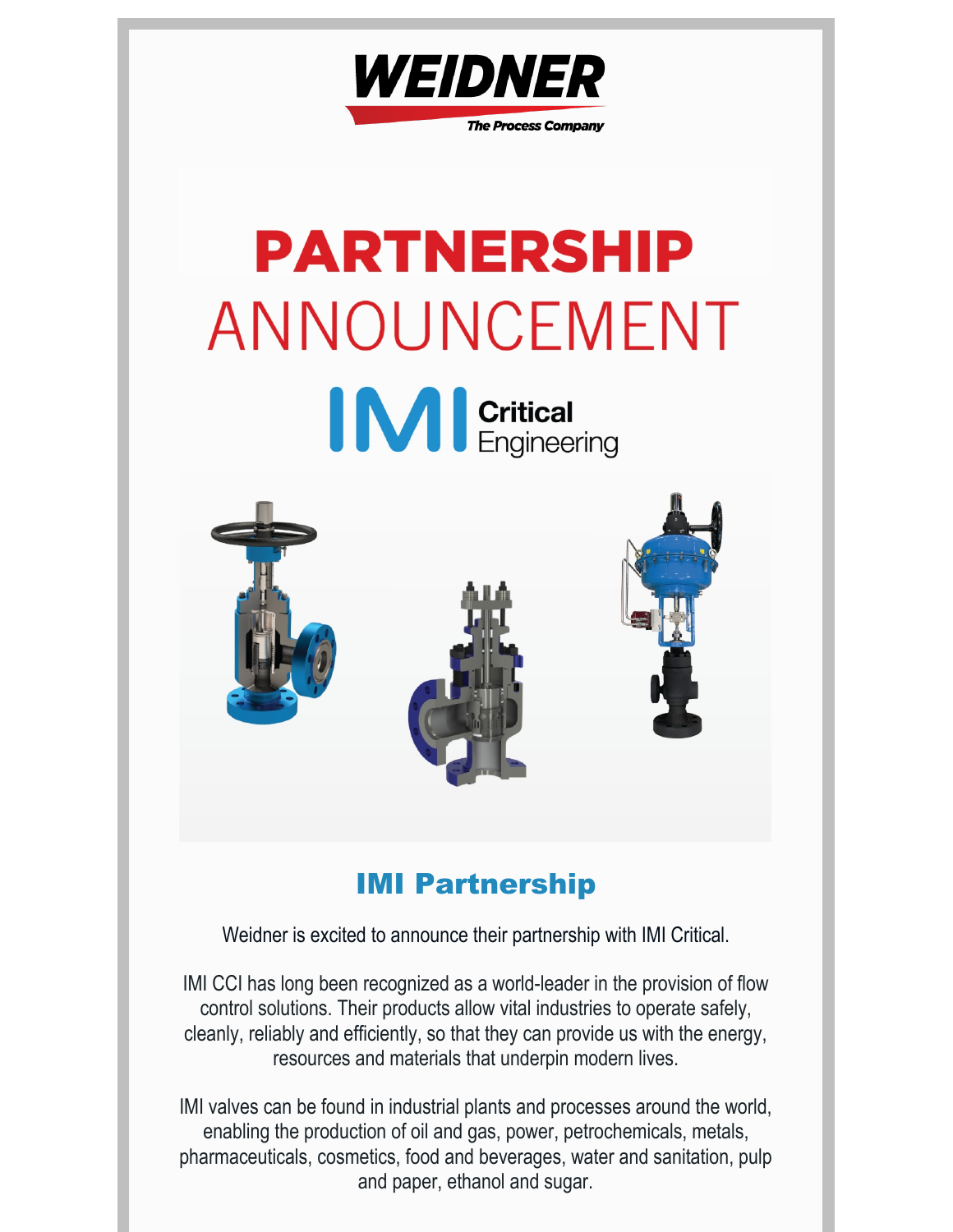

# **PARTNERSHIP** ANNOUNCEMENT





# IMI Partnership

Weidner is excited to announce their partnership with IMI Critical.

IMI CCI has long been recognized as a world-leader in the provision of flow control solutions. Their products allow vital industries to operate safely, cleanly, reliably and efficiently, so that they can provide us with the energy, resources and materials that underpin modern lives.

IMI valves can be found in industrial plants and processes around the world, enabling the production of oil and gas, power, petrochemicals, metals, pharmaceuticals, cosmetics, food and beverages, water and sanitation, pulp and paper, ethanol and sugar.